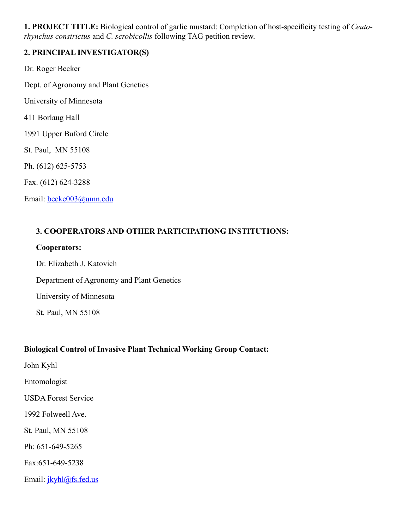**1. PROJECT TITLE:** Biological control of garlic mustard: Completion of host-specificity testing of *Ceutorhynchus constrictus* and *C. scrobicollis* following TAG petition review.

## **2. PRINCIPAL INVESTIGATOR(S)**

Dr. Roger Becker Dept. of Agronomy and Plant Genetics University of Minnesota 411 Borlaug Hall 1991 Upper Buford Circle St. Paul, MN 55108 Ph. (612) 625-5753 Fax. (612) 624-3288 Email: becke003@umn.edu

## **3. COOPERATORS AND OTHER PARTICIPATIONG INSTITUTIONS:**

#### **Cooperators:**

Dr. Elizabeth J. Katovich Department of Agronomy and Plant Genetics University of Minnesota St. Paul, MN 55108

## **Biological Control of Invasive Plant Technical Working Group Contact:**

John Kyhl

Entomologist

USDA Forest Service

1992 Folweell Ave.

St. Paul, MN 55108

Ph: 651-649-5265

Fax:651-649-5238

Email: jkyhl@fs.fed.us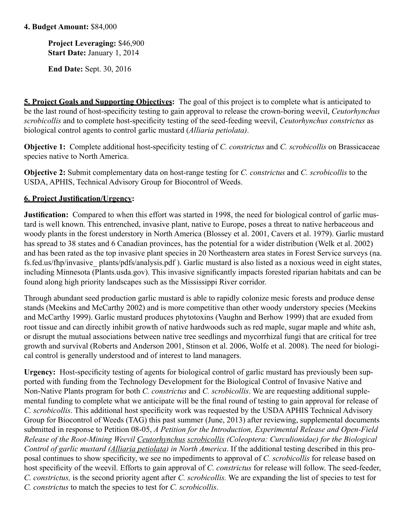## **4. Budget Amount:** \$84,000

**Project Leveraging:** \$46,900 **Start Date:** January 1, 2014

**End Date:** Sept. 30, 2016

 **5. Project Goals and Supporting Objectives:** The goal of this project is to complete what is anticipated to be the last round of host-specificity testing to gain approval to release the crown-boring weevil, *Ceutorhynchus scrobicollis* and to complete host-specificity testing of the seed-feeding weevil, *Ceutorhynchus constrictus* as biological control agents to control garlic mustard (*Alliaria petiolata)*.

**Objective 1:** Complete additional host-specificity testing of *C. constrictus* and *C. scrobicollis* on Brassicaceae species native to North America.

**Objective 2:** Submit complementary data on host-range testing for *C. constrictus* and *C. scrobicollis* to the USDA, APHIS, Technical Advisory Group for Biocontrol of Weeds.

## **6. Project Justification/Urgency:**

**Justification:** Compared to when this effort was started in 1998, the need for biological control of garlic mustard is well known. This entrenched, invasive plant, native to Europe, poses a threat to native herbaceous and woody plants in the forest understory in North America (Blossey et al. 2001, Cavers et al. 1979). Garlic mustard has spread to 38 states and 6 Canadian provinces, has the potential for a wider distribution (Welk et al. 2002) and has been rated as the top invasive plant species in 20 Northeastern area states in Forest Service surveys (na. fs.fed.us/fhp/invasive\_ plants/pdfs/analysis.pdf ). Garlic mustard is also listed as a noxious weed in eight states, including Minnesota (Plants.usda.gov). This invasive significantly impacts forested riparian habitats and can be found along high priority landscapes such as the Mississippi River corridor.

Through abundant seed production garlic mustard is able to rapidly colonize mesic forests and produce dense stands (Meekins and McCarthy 2002) and is more competitive than other woody understory species (Meekins and McCarthy 1999). Garlic mustard produces phytotoxins (Vaughn and Berhow 1999) that are exuded from root tissue and can directly inhibit growth of native hardwoods such as red maple, sugar maple and white ash, or disrupt the mutual associations between native tree seedlings and mycorrhizal fungi that are critical for tree growth and survival (Roberts and Anderson 2001, Stinson et al. 2006, Wolfe et al. 2008). The need for biological control is generally understood and of interest to land managers.

**Urgency:** Host-specificity testing of agents for biological control of garlic mustard has previously been supported with funding from the Technology Development for the Biological Control of Invasive Native and Non-Native Plants program for both *C. constrictus* and *C. scrobicollis*. We are requesting additional supplemental funding to complete what we anticipate will be the final round of testing to gain approval for release of *C. scrobicollis*. This additional host specificity work was requested by the USDA APHIS Technical Advisory Group for Biocontrol of Weeds (TAG) this past summer (June, 2013) after reviewing, supplemental documents submitted in response to Petition 08-05, *A Petition for the Introduction, Experimental Release and Open-Field Release of the Root-Mining Weevil Ceutorhynchus scrobicollis (Coleoptera: Curculionidae) for the Biological Control of garlic mustard (Alliaria petiolata) in North America*. If the additional testing described in this proposal continues to show specificity, we see no impediments to approval of *C. scrobicollis* for release based on host specificity of the weevil. Efforts to gain approval of *C. constrictus* for release will follow. The seed-feeder, *C. constrictus,* is the second priority agent after *C. scrobicollis.* We are expanding the list of species to test for *C. constrictus* to match the species to test for *C. scrobicollis*.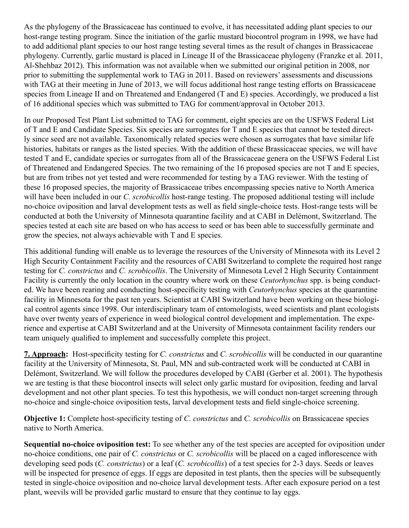As the phylogeny of the Brassicaceae has continued to evolve, it has necessitated adding plant species to our host-range testing program. Since the initiation of the garlic mustard biocontrol program in 1998, we have had to add additional plant species to our host range testing several times as the result of changes in Brassicaceae phylogeny. Currently, garlic mustard is placed in Lineage II of the Brassicaceae phylogeny (Franzke et al. 2011, Al-Shehbaz 2012). This information was not available when we submitted our original petition in 2008, nor prior to submitting the supplemental work to TAG in 2011. Based on reviewers' assessments and discussions with TAG at their meeting in June of 2013, we will focus additional host range testing efforts on Brassicaceae species from Lineage II and on Threatened and Endangered (T and E) species. Accordingly, we produced a list of 16 additional species which was submitted to TAG for comment/approval in October 2013.

In our Proposed Test Plant List submitted to TAG for comment, eight species are on the USFWS Federal List of T and E and Candidate Species. Six species are surrogates for T and E species that cannot be tested directly since seed are not available. Taxonomically related species were chosen as surrogates that have similar life histories, habitats or ranges as the listed species. With the addition of these Brassicaceae species, we will have tested T and E, candidate species or surrogates from all of the Brassicaceae genera on the USFWS Federal List of Threatened and Endangered Species. The two remaining of the 16 proposed species are not T and E species, but are from tribes not yet tested and were recommended for testing by a TAG reviewer. With the testing of these 16 proposed species, the majority of Brassicaceae tribes encompassing species native to North America will have been included in our *C. scrobicollis* host-range testing. The proposed additional testing will include no-choice oviposition and larval development tests as well as field single-choice tests. Host-range tests will be conducted at both the University of Minnesota quarantine facility and at CABI in Delémont, Switzerland. The species tested at each site are based on who has access to seed or has been able to successfully germinate and grow the species, not always achievable with T and E species.

This additional funding will enable us to leverage the resources of the University of Minnesota with its Level 2 High Security Containment Facility and the resources of CABI Switzerland to complete the required host range testing for *C. constrictus* and *C. scrobicollis*. The University of Minnesota Level 2 High Security Containment Facility is currently the only location in the country where work on these *Ceutorhynchus* spp. is being conducted. We have been rearing and conducting host-specificity testing with *Ceutorhynchus* species at the quarantine facility in Minnesota for the past ten years. Scientist at CABI Switzerland have been working on these biological control agents since 1998. Our interdisciplinary team of entomologists, weed scientists and plant ecologists have over twenty years of experience in weed biological control development and implementation. The experience and expertise at CABI Switzerland and at the University of Minnesota containment facility renders our team uniquely qualified to implement and successfully complete this project.

**7. Approach:** Host-specificity testing for *C. constrictus* and *C. scrobicollis* will be conducted in our quarantine facility at the University of Minnesota, St. Paul, MN and sub-contracted work will be conducted at CABI in Delémont, Switzerland. We will follow the procedures developed by CABI (Gerber et al. 2001). The hypothesis we are testing is that these biocontrol insects will select only garlic mustard for oviposition, feeding and larval development and not other plant species. To test this hypothesis, we will conduct non-target screening through no-choice and single-choice oviposition tests, larval development tests and field single-choice screening.

**Objective 1:** Complete host-specificity testing of *C. constrictus* and *C. scrobicollis* on Brassicaceae species native to North America.

**Sequential no-choice oviposition test:** To see whether any of the test species are accepted for oviposition under no-choice conditions, one pair of *C. constrictus* or *C. scrobicollis* will be placed on a caged inflorescence with developing seed pods (*C. constrictus*) or a leaf (*C. scrobicollis*) of a test species for 2-3 days. Seeds or leaves will be inspected for presence of eggs. If eggs are deposited in test plants, then the species will be subsequently tested in single-choice oviposition and no-choice larval development tests. After each exposure period on a test plant, weevils will be provided garlic mustard to ensure that they continue to lay eggs.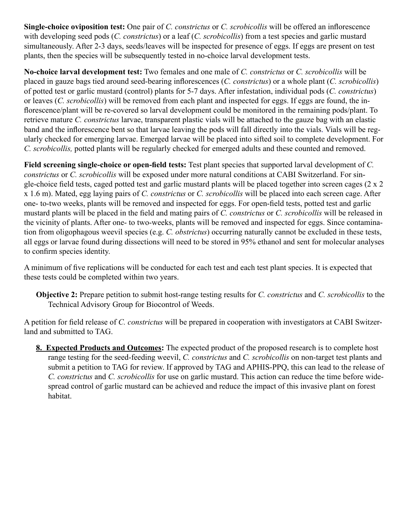**Single-choice oviposition test:** One pair of *C. constrictus* or *C. scrobicollis* will be offered an inflorescence with developing seed pods (*C. constrictus*) or a leaf (*C. scrobicollis*) from a test species and garlic mustard simultaneously. After 2-3 days, seeds/leaves will be inspected for presence of eggs. If eggs are present on test plants, then the species will be subsequently tested in no-choice larval development tests.

**No-choice larval development test:** Two females and one male of *C. constrictus* or *C. scrobicollis* will be placed in gauze bags tied around seed-bearing inflorescences (*C. constrictus*) or a whole plant (*C. scrobicollis*) of potted test or garlic mustard (control) plants for 5-7 days. After infestation, individual pods (*C. constrictus*) or leaves (*C. scrobicollis*) will be removed from each plant and inspected for eggs. If eggs are found, the inflorescence/plant will be re-covered so larval development could be monitored in the remaining pods/plant. To retrieve mature *C. constrictus* larvae, transparent plastic vials will be attached to the gauze bag with an elastic band and the inflorescence bent so that larvae leaving the pods will fall directly into the vials. Vials will be regularly checked for emerging larvae. Emerged larvae will be placed into sifted soil to complete development. For *C. scrobicollis,* potted plants will be regularly checked for emerged adults and these counted and removed.

**Field screening single-choice or open-field tests:** Test plant species that supported larval development of *C. constrictus* or *C. scrobicollis* will be exposed under more natural conditions at CABI Switzerland. For single-choice field tests, caged potted test and garlic mustard plants will be placed together into screen cages (2 x 2 x 1.6 m). Mated, egg laying pairs of *C. constrictus* or *C. scrobicollis* will be placed into each screen cage. After one- to-two weeks, plants will be removed and inspected for eggs. For open-field tests, potted test and garlic mustard plants will be placed in the field and mating pairs of *C. constrictus* or *C. scrobicollis* will be released in the vicinity of plants. After one- to two-weeks, plants will be removed and inspected for eggs. Since contamination from oligophagous weevil species (e.g. *C. obstrictus*) occurring naturally cannot be excluded in these tests, all eggs or larvae found during dissections will need to be stored in 95% ethanol and sent for molecular analyses to confirm species identity.

A minimum of five replications will be conducted for each test and each test plant species. It is expected that these tests could be completed within two years.

**Objective 2:** Prepare petition to submit host-range testing results for *C. constrictus* and *C. scrobicollis* to the Technical Advisory Group for Biocontrol of Weeds.

A petition for field release of *C. constrictus* will be prepared in cooperation with investigators at CABI Switzerland and submitted to TAG.

**8. Expected Products and Outcomes:** The expected product of the proposed research is to complete host range testing for the seed-feeding weevil, *C. constrictus* and *C. scrobicollis* on non-target test plants and submit a petition to TAG for review. If approved by TAG and APHIS-PPQ, this can lead to the release of *C. constrictus* and *C. scrobicollis* for use on garlic mustard. This action can reduce the time before widespread control of garlic mustard can be achieved and reduce the impact of this invasive plant on forest habitat.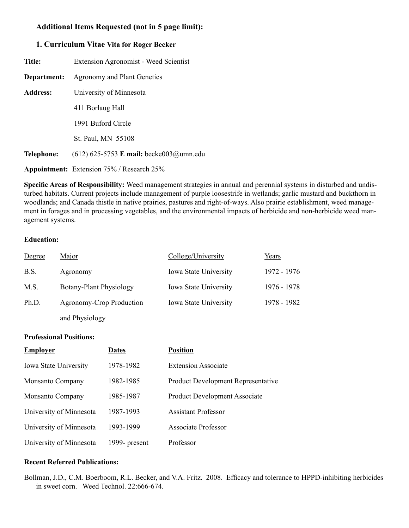## **Additional Items Requested (not in 5 page limit):**

#### **1. Curriculum Vitae Vita for Roger Becker**

| Title:          | <b>Extension Agronomist - Weed Scientist</b>     |  |  |  |
|-----------------|--------------------------------------------------|--|--|--|
| Department:     | <b>Agronomy and Plant Genetics</b>               |  |  |  |
| <b>Address:</b> | University of Minnesota                          |  |  |  |
|                 | 411 Borlaug Hall                                 |  |  |  |
|                 | 1991 Buford Circle                               |  |  |  |
|                 | St. Paul, MN 55108                               |  |  |  |
| Telephone:      | $(612)$ 625-5753 <b>E</b> mail: becke003@umn.edu |  |  |  |
|                 | Appointment: Extension 75% / Research 25%        |  |  |  |

**Specific Areas of Responsibility:** Weed management strategies in annual and perennial systems in disturbed and undisturbed habitats. Current projects include management of purple loosestrife in wetlands; garlic mustard and buckthorn in woodlands; and Canada thistle in native prairies, pastures and right-of-ways. Also prairie establishment, weed management in forages and in processing vegetables, and the environmental impacts of herbicide and non-herbicide weed management systems.

#### **Education:**

| Degree | Major                    | College/University           | Years       |
|--------|--------------------------|------------------------------|-------------|
| B.S.   | Agronomy                 | <b>Iowa State University</b> | 1972 - 1976 |
| M.S.   | Botany-Plant Physiology  | <b>Iowa State University</b> | 1976 - 1978 |
| Ph.D.  | Agronomy-Crop Production | <b>Iowa State University</b> | 1978 - 1982 |
|        |                          |                              |             |

and Physiology

#### **Professional Positions:**

| <b>Employer</b>              | <b>Dates</b>  | <b>Position</b>                           |
|------------------------------|---------------|-------------------------------------------|
| <b>Iowa State University</b> | 1978-1982     | <b>Extension Associate</b>                |
| <b>Monsanto Company</b>      | 1982-1985     | <b>Product Development Representative</b> |
| <b>Monsanto Company</b>      | 1985-1987     | Product Development Associate             |
| University of Minnesota      | 1987-1993     | <b>Assistant Professor</b>                |
| University of Minnesota      | 1993-1999     | <b>Associate Professor</b>                |
| University of Minnesota      | 1999- present | Professor                                 |

#### **Recent Referred Publications:**

Bollman, J.D., C.M. Boerboom, R.L. Becker, and V.A. Fritz. 2008. Efficacy and tolerance to HPPD-inhibiting herbicides in sweet corn. Weed Technol. 22:666-674.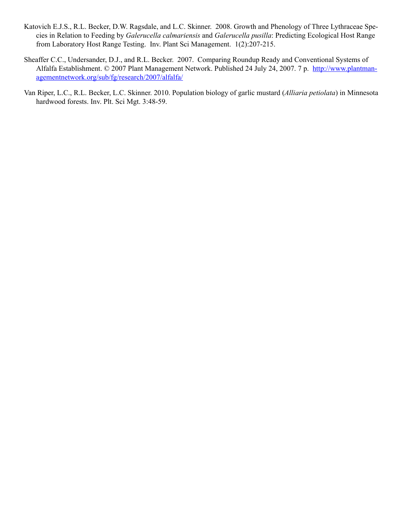- Katovich E.J.S., R.L. Becker, D.W. Ragsdale, and L.C. Skinner. 2008. Growth and Phenology of Three Lythraceae Species in Relation to Feeding by *Galerucella calmariensis* and *Galerucella pusilla*: Predicting Ecological Host Range from Laboratory Host Range Testing. Inv. Plant Sci Management. 1(2):207-215.
- Sheaffer C.C., Undersander, D.J., and R.L. Becker. 2007. Comparing Roundup Ready and Conventional Systems of Alfalfa Establishment. © 2007 Plant Management Network. Published 24 July 24, 2007. 7 p. http://www.plantmanagementnetwork.org/sub/fg/research/2007/alfalfa/
- Van Riper, L.C., R.L. Becker, L.C. Skinner. 2010. Population biology of garlic mustard (*Alliaria petiolata*) in Minnesota hardwood forests. Inv. Plt. Sci Mgt. 3:48-59.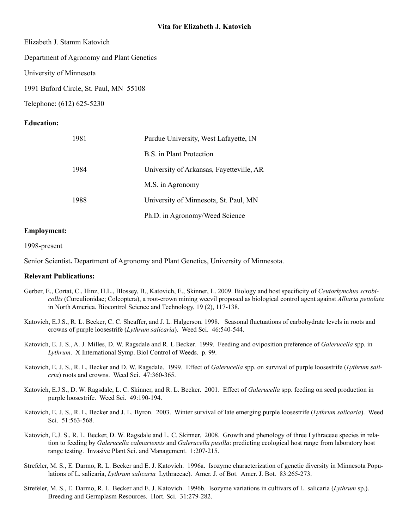Elizabeth J. Stamm Katovich

Department of Agronomy and Plant Genetics

University of Minnesota

1991 Buford Circle, St. Paul, MN 55108

Telephone: (612) 625-5230

#### **Education:**

| 1981 | Purdue University, West Lafayette, IN    |  |
|------|------------------------------------------|--|
|      | B.S. in Plant Protection                 |  |
| 1984 | University of Arkansas, Fayetteville, AR |  |
|      | M.S. in Agronomy                         |  |
| 1988 | University of Minnesota, St. Paul, MN    |  |
|      | Ph.D. in Agronomy/Weed Science           |  |

#### **Employment:**

1998-present

Senior Scientist**.** Department of Agronomy and Plant Genetics, University of Minnesota.

#### **Relevant Publications:**

- Gerber, E., Cortat, C., Hinz, H.L., Blossey, B., Katovich, E., Skinner, L. 2009. Biology and host specificity of *Ceutorhynchus scrobicollis* (Curculionidae; Coleoptera), a root-crown mining weevil proposed as biological control agent against *Alliaria petiolata*  in North America. Biocontrol Science and Technology, 19 (2), 117-138.
- Katovich, E.J.S., R. L. Becker, C. C. Sheaffer, and J. L. Halgerson. 1998. Seasonal fluctuations of carbohydrate levels in roots and crowns of purple loosestrife (*Lythrum salicaria*). Weed Sci. 46:540-544.
- Katovich, E. J. S., A. J. Milles, D. W. Ragsdale and R. L Becker. 1999. Feeding and oviposition preference of *Galerucella* spp. in *Lythrum*. X International Symp. Biol Control of Weeds. p. 99.
- Katovich, E. J. S., R. L. Becker and D. W. Ragsdale. 1999. Effect of *Galerucella* spp. on survival of purple loosestrife (*Lythrum salicria*) roots and crowns. Weed Sci. 47:360-365.
- Katovich, E.J.S., D. W. Ragsdale, L. C. Skinner, and R. L. Becker. 2001. Effect of *Galerucella* spp. feeding on seed production in purple loosestrife. Weed Sci. 49:190-194.
- Katovich, E. J. S., R. L. Becker and J. L. Byron. 2003. Winter survival of late emerging purple loosestrife (*Lythrum salicaria*). Weed Sci. 51:563-568.
- Katovich, E.J. S., R. L. Becker, D. W. Ragsdale and L. C. Skinner. 2008. Growth and phenology of three Lythraceae species in relation to feeding by *Galerucella calmariensis* and *Galerucella pusilla*: predicting ecological host range from laboratory host range testing. Invasive Plant Sci. and Management. 1:207-215.
- Strefeler, M. S., E. Darmo, R. L. Becker and E. J. Katovich. 1996a. Isozyme characterization of genetic diversity in Minnesota Populations of L. salicaria, *Lythrum salicaria* Lythraceae). Amer. J. of Bot. Amer. J. Bot. 83:265-273.
- Strefeler, M. S., E. Darmo, R. L. Becker and E. J. Katovich. 1996b. Isozyme variations in cultivars of L. salicaria (*Lythrum* sp.). Breeding and Germplasm Resources. Hort. Sci. 31:279-282.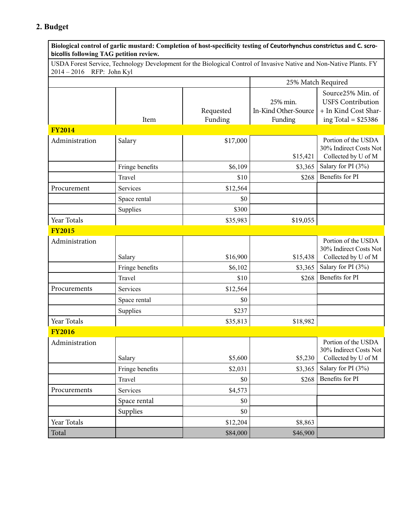# **2. Budget**

| bicollis following TAG petition review. |                 | Biological control of garlic mustard: Completion of host-specificity testing of Ceutorhynchus constrictus and C. scro- |                                             |                                                                                               |
|-----------------------------------------|-----------------|------------------------------------------------------------------------------------------------------------------------|---------------------------------------------|-----------------------------------------------------------------------------------------------|
| 2014 - 2016 RFP: John Kyl               |                 | USDA Forest Service, Technology Development for the Biological Control of Invasive Native and Non-Native Plants. FY    |                                             |                                                                                               |
|                                         |                 |                                                                                                                        | 25% Match Required                          |                                                                                               |
|                                         | Item            | Requested<br>Funding                                                                                                   | 25% min.<br>In-Kind Other-Source<br>Funding | Source25% Min. of<br><b>USFS</b> Contribution<br>+ In Kind Cost Shar-<br>ing Total = $$25386$ |
| <b>FY2014</b>                           |                 |                                                                                                                        |                                             |                                                                                               |
| Administration                          | Salary          | \$17,000                                                                                                               | \$15,421                                    | Portion of the USDA<br>30% Indirect Costs Not<br>Collected by U of M                          |
|                                         | Fringe benefits | \$6,109                                                                                                                | \$3,365                                     | Salary for PI (3%)                                                                            |
|                                         | Travel          | \$10                                                                                                                   | \$268                                       | Benefits for PI                                                                               |
| Procurement                             | <b>Services</b> | \$12,564                                                                                                               |                                             |                                                                                               |
|                                         | Space rental    | \$0                                                                                                                    |                                             |                                                                                               |
|                                         | Supplies        | \$300                                                                                                                  |                                             |                                                                                               |
| Year Totals                             |                 | \$35,983                                                                                                               | \$19,055                                    |                                                                                               |
| <b>FY2015</b>                           |                 |                                                                                                                        |                                             |                                                                                               |
| Administration                          | Salary          | \$16,900                                                                                                               | \$15,438                                    | Portion of the USDA<br>30% Indirect Costs Not<br>Collected by U of M                          |
|                                         | Fringe benefits | \$6,102                                                                                                                | \$3,365                                     | Salary for PI (3%)                                                                            |
|                                         | Travel          | \$10                                                                                                                   | \$268                                       | Benefits for PI                                                                               |
| Procurements                            | Services        | \$12,564                                                                                                               |                                             |                                                                                               |
|                                         | Space rental    | \$0                                                                                                                    |                                             |                                                                                               |
|                                         | Supplies        | \$237                                                                                                                  |                                             |                                                                                               |
| Year Totals                             |                 | \$35,813                                                                                                               | \$18,982                                    |                                                                                               |
| <b>FY2016</b>                           |                 |                                                                                                                        |                                             |                                                                                               |
| Administration                          | Salary          | \$5,600                                                                                                                | \$5,230                                     | Portion of the USDA<br>30% Indirect Costs Not<br>Collected by U of M                          |
|                                         | Fringe benefits | \$2,031                                                                                                                | \$3,365                                     | Salary for PI (3%)                                                                            |
|                                         | Travel          | \$0                                                                                                                    | \$268                                       | Benefits for PI                                                                               |
| Procurements                            | Services        | \$4,573                                                                                                                |                                             |                                                                                               |
|                                         | Space rental    | \$0                                                                                                                    |                                             |                                                                                               |
|                                         | Supplies        | \$0                                                                                                                    |                                             |                                                                                               |
| Year Totals                             |                 | \$12,204                                                                                                               | \$8,863                                     |                                                                                               |
| Total                                   |                 | \$84,000                                                                                                               | \$46,900                                    |                                                                                               |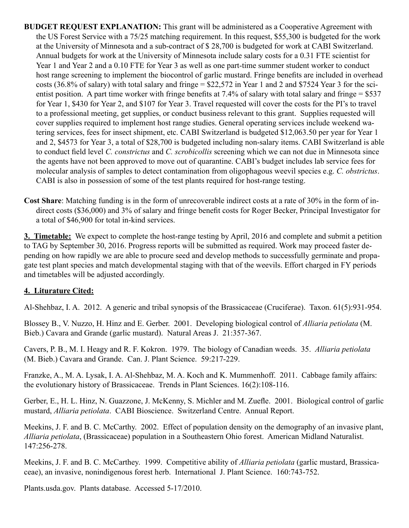**BUDGET REQUEST EXPLANATION:** This grant will be administered as a Cooperative Agreement with the US Forest Service with a 75/25 matching requirement. In this request, \$55,300 is budgeted for the work at the University of Minnesota and a sub-contract of \$ 28,700 is budgeted for work at CABI Switzerland. Annual budgets for work at the University of Minnesota include salary costs for a 0.31 FTE scientist for Year 1 and Year 2 and a 0.10 FTE for Year 3 as well as one part-time summer student worker to conduct host range screening to implement the biocontrol of garlic mustard. Fringe benefits are included in overhead costs (36.8% of salary) with total salary and fringe = \$22,572 in Year 1 and 2 and \$7524 Year 3 for the scientist position. A part time worker with fringe benefits at 7.4% of salary with total salary and fringe = \$537 for Year 1, \$430 for Year 2, and \$107 for Year 3. Travel requested will cover the costs for the PI's to travel to a professional meeting, get supplies, or conduct business relevant to this grant. Supplies requested will cover supplies required to implement host range studies. General operating services include weekend watering services, fees for insect shipment, etc. CABI Switzerland is budgeted \$12,063.50 per year for Year 1 and 2, \$4573 for Year 3, a total of \$28,700 is budgeted including non-salary items. CABI Switzerland is able to conduct field level *C. constrictus* and *C. scrobicollis* screening which we can not due in Minnesota since the agents have not been approved to move out of quarantine. CABI's budget includes lab service fees for molecular analysis of samples to detect contamination from oligophagous weevil species e.g. *C. obstrictus*. CABI is also in possession of some of the test plants required for host-range testing.

**Cost Share**: Matching funding is in the form of unrecoverable indirect costs at a rate of 30% in the form of indirect costs (\$36,000) and 3% of salary and fringe benefit costs for Roger Becker, Principal Investigator for a total of \$46,900 for total in-kind services.

 **3. Timetable:** We expect to complete the host-range testing by April, 2016 and complete and submit a petition to TAG by September 30, 2016. Progress reports will be submitted as required. Work may proceed faster depending on how rapidly we are able to procure seed and develop methods to successfully germinate and propagate test plant species and match developmental staging with that of the weevils. Effort charged in FY periods and timetables will be adjusted accordingly.

## **4. Liturature Cited:**

Al-Shehbaz, I. A. 2012. A generic and tribal synopsis of the Brassicaceae (Cruciferae). Taxon. 61(5):931-954.

Blossey B., V. Nuzzo, H. Hinz and E. Gerber. 2001. Developing biological control of *Alliaria petiolata* (M. Bieb.) Cavara and Grande (garlic mustard). Natural Areas J. 21:357-367.

 Cavers, P. B., M. I. Heagy and R. F. Kokron. 1979. The biology of Canadian weeds. 35. *Alliaria petiolata* (M. Bieb.) Cavara and Grande. Can. J. Plant Science. 59:217-229.

Franzke, A., M. A. Lysak, I. A. Al-Shehbaz, M. A. Koch and K. Mummenhoff. 2011. Cabbage family affairs: the evolutionary history of Brassicaceae. Trends in Plant Sciences. 16(2):108-116.

Gerber, E., H. L. Hinz, N. Guazzone, J. McKenny, S. Michler and M. Zuefle. 2001. Biological control of garlic mustard, *Alliaria petiolata*. CABI Bioscience. Switzerland Centre. Annual Report.

Meekins, J. F. and B. C. McCarthy. 2002. Effect of population density on the demography of an invasive plant, *Alliaria petiolata*, (Brassicaceae) population in a Southeastern Ohio forest. American Midland Naturalist. 147:256-278.

Meekins, J. F. and B. C. McCarthey. 1999. Competitive ability of *Alliaria petiolata* (garlic mustard, Brassicaceae), an invasive, nonindigenous forest herb. International J. Plant Science. 160:743-752.

Plants.usda.gov. Plants database. Accessed 5-17/2010.